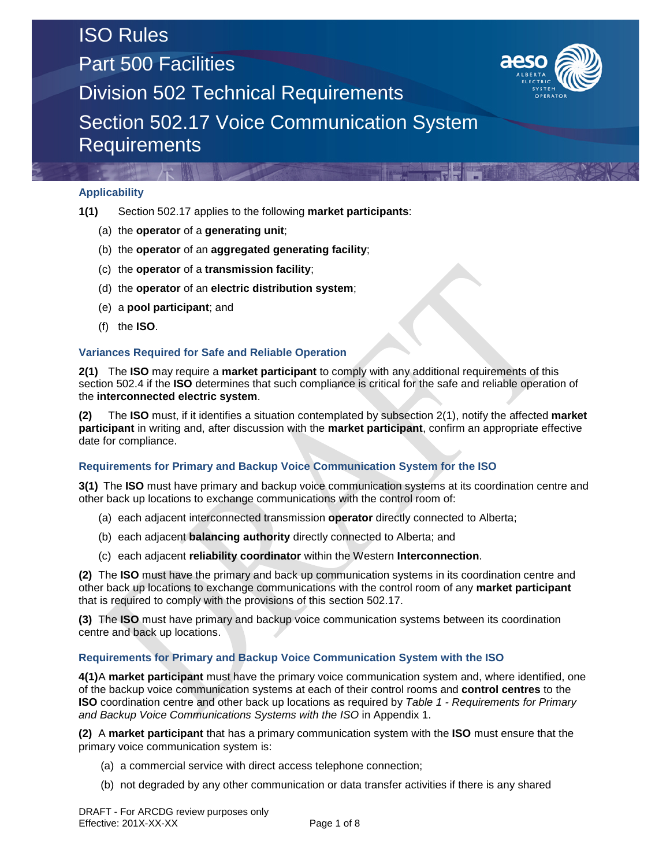## ISO Rules

Part 500 Facilities



Division 502 Technical Requirements

Section 502.17 Voice Communication System **Requirements** 

### **Applicability**

- **1(1)** Section 502.17 applies to the following **market participants**:
	- (a) the **operator** of a **generating unit**;
	- (b) the **operator** of an **aggregated generating facility**;
	- (c) the **operator** of a **transmission facility**;
	- (d) the **operator** of an **electric distribution system**;
	- (e) a **pool participant**; and
	- (f) the **ISO**.

### **Variances Required for Safe and Reliable Operation**

**2(1)** The **ISO** may require a **market participant** to comply with any additional requirements of this section 502.4 if the **ISO** determines that such compliance is critical for the safe and reliable operation of the **interconnected electric system**.

**(2)** The **ISO** must, if it identifies a situation contemplated by subsection 2(1), notify the affected **market participant** in writing and, after discussion with the **market participant**, confirm an appropriate effective date for compliance.

### **Requirements for Primary and Backup Voice Communication System for the ISO**

**3(1)** The **ISO** must have primary and backup voice communication systems at its coordination centre and other back up locations to exchange communications with the control room of:

- (a) each adjacent interconnected transmission **operator** directly connected to Alberta;
- (b) each adjacent **balancing authority** directly connected to Alberta; and
- (c) each adjacent **reliability coordinator** within the Western **Interconnection**.

**(2)** The **ISO** must have the primary and back up communication systems in its coordination centre and other back up locations to exchange communications with the control room of any **market participant** that is required to comply with the provisions of this section 502.17.

**(3)** The **ISO** must have primary and backup voice communication systems between its coordination centre and back up locations.

### **Requirements for Primary and Backup Voice Communication System with the ISO**

**4(1)**A **market participant** must have the primary voice communication system and, where identified, one of the backup voice communication systems at each of their control rooms and **control centres** to the **ISO** coordination centre and other back up locations as required by *Table 1 - Requirements for Primary and Backup Voice Communications Systems with the ISO* in Appendix 1.

**(2)** A **market participant** that has a primary communication system with the **ISO** must ensure that the primary voice communication system is:

- (a) a commercial service with direct access telephone connection;
- (b) not degraded by any other communication or data transfer activities if there is any shared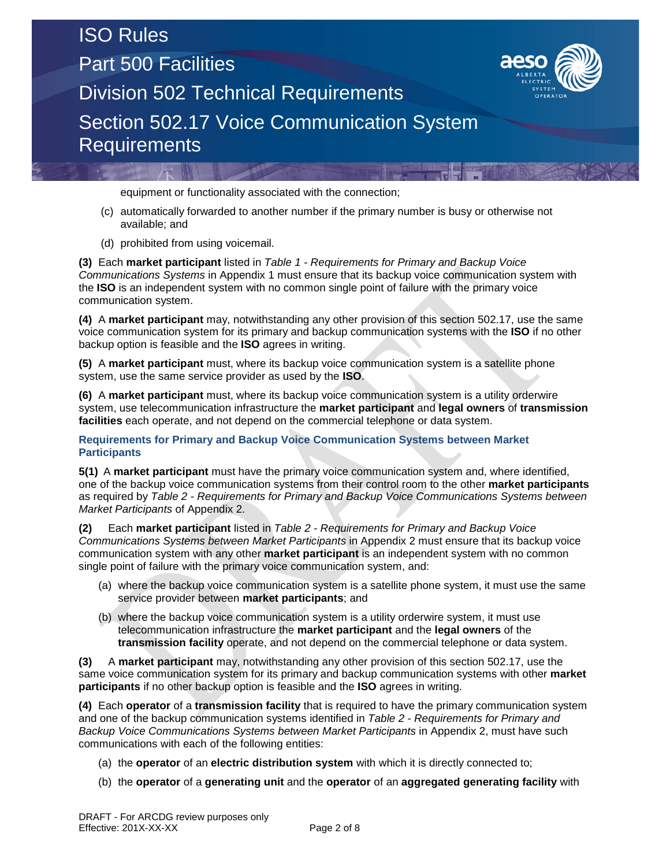# ISO Rules

**Requirements** 

Part 500 Facilities



Division 502 Technical Requirements Section 502.17 Voice Communication System

equipment or functionality associated with the connection;

- (c) automatically forwarded to another number if the primary number is busy or otherwise not available; and
- (d) prohibited from using voicemail.

**(3)** Each **market participant** listed in *Table 1 - Requirements for Primary and Backup Voice Communications Systems* in Appendix 1 must ensure that its backup voice communication system with the **ISO** is an independent system with no common single point of failure with the primary voice communication system.

**(4)** A **market participant** may, notwithstanding any other provision of this section 502.17, use the same voice communication system for its primary and backup communication systems with the **ISO** if no other backup option is feasible and the **ISO** agrees in writing.

**(5)** A **market participant** must, where its backup voice communication system is a satellite phone system, use the same service provider as used by the **ISO**.

**(6)** A **market participant** must, where its backup voice communication system is a utility orderwire system, use telecommunication infrastructure the **market participant** and **legal owners** of **transmission facilities** each operate, and not depend on the commercial telephone or data system.

**Requirements for Primary and Backup Voice Communication Systems between Market Participants**

**5(1)** A **market participant** must have the primary voice communication system and, where identified, one of the backup voice communication systems from their control room to the other **market participants** as required by *Table 2 - Requirements for Primary and Backup Voice Communications Systems between Market Participants* of Appendix 2.

**(2)** Each **market participant** listed in *Table 2 - Requirements for Primary and Backup Voice Communications Systems between Market Participants* in Appendix 2 must ensure that its backup voice communication system with any other **market participant** is an independent system with no common single point of failure with the primary voice communication system, and:

- (a) where the backup voice communication system is a satellite phone system, it must use the same service provider between **market participants**; and
- (b) where the backup voice communication system is a utility orderwire system, it must use telecommunication infrastructure the **market participant** and the **legal owners** of the **transmission facility** operate, and not depend on the commercial telephone or data system.

**(3)** A **market participant** may, notwithstanding any other provision of this section 502.17, use the same voice communication system for its primary and backup communication systems with other **market participants** if no other backup option is feasible and the **ISO** agrees in writing.

**(4)** Each **operator** of a **transmission facility** that is required to have the primary communication system and one of the backup communication systems identified in *Table 2 - Requirements for Primary and Backup Voice Communications Systems between Market Participants* in Appendix 2, must have such communications with each of the following entities:

- (a) the **operator** of an **electric distribution system** with which it is directly connected to;
- (b) the **operator** of a **generating unit** and the **operator** of an **aggregated generating facility** with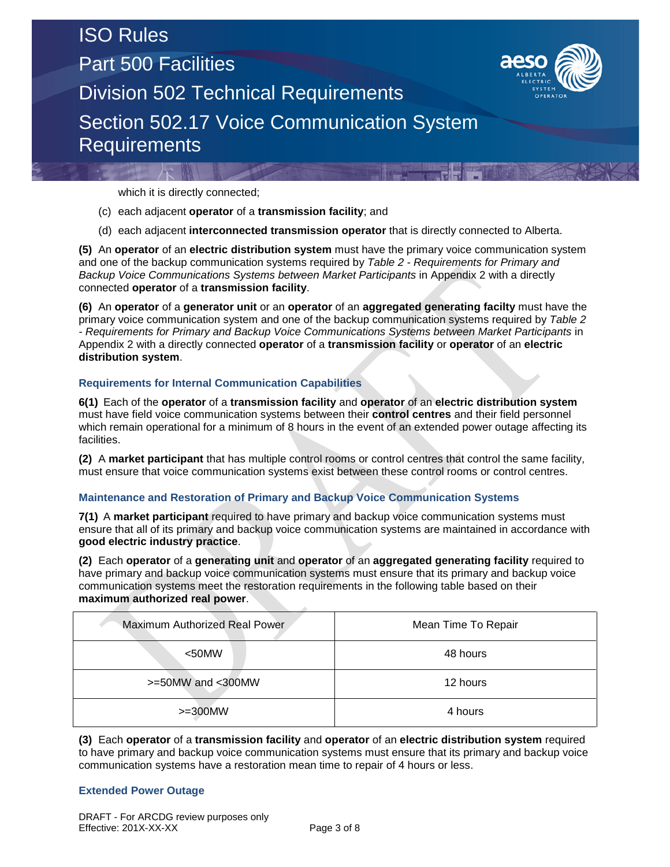## ISO Rules Part 500 Facilities Division 502 Technical Requirements Section 502.17 Voice Communication System **Requirements**



which it is directly connected;

- (c) each adjacent **operator** of a **transmission facility**; and
- (d) each adjacent **interconnected transmission operator** that is directly connected to Alberta.

**(5)** An **operator** of an **electric distribution system** must have the primary voice communication system and one of the backup communication systems required by *Table 2 - Requirements for Primary and Backup Voice Communications Systems between Market Participants* in Appendix 2 with a directly connected **operator** of a **transmission facility**.

**(6)** An **operator** of a **generator unit** or an **operator** of an **aggregated generating facilty** must have the primary voice communication system and one of the backup communication systems required by *Table 2 - Requirements for Primary and Backup Voice Communications Systems between Market Participants* in Appendix 2 with a directly connected **operator** of a **transmission facility** or **operator** of an **electric distribution system**.

### **Requirements for Internal Communication Capabilities**

**6(1)** Each of the **operator** of a **transmission facility** and **operator** of an **electric distribution system** must have field voice communication systems between their **control centres** and their field personnel which remain operational for a minimum of 8 hours in the event of an extended power outage affecting its facilities.

**(2)** A **market participant** that has multiple control rooms or control centres that control the same facility, must ensure that voice communication systems exist between these control rooms or control centres.

### **Maintenance and Restoration of Primary and Backup Voice Communication Systems**

**7(1)** A **market participant** required to have primary and backup voice communication systems must ensure that all of its primary and backup voice communication systems are maintained in accordance with **good electric industry practice**.

**(2)** Each **operator** of a **generating unit** and **operator** of an **aggregated generating facility** required to have primary and backup voice communication systems must ensure that its primary and backup voice communication systems meet the restoration requirements in the following table based on their **maximum authorized real power**.

| Maximum Authorized Real Power | Mean Time To Repair |
|-------------------------------|---------------------|
| $<$ 50MW                      | 48 hours            |
| $>=50$ MW and $<$ 300MW       | 12 hours            |
| $>=300$ MW                    | 4 hours             |

**(3)** Each **operator** of a **transmission facility** and **operator** of an **electric distribution system** required to have primary and backup voice communication systems must ensure that its primary and backup voice communication systems have a restoration mean time to repair of 4 hours or less.

### **Extended Power Outage**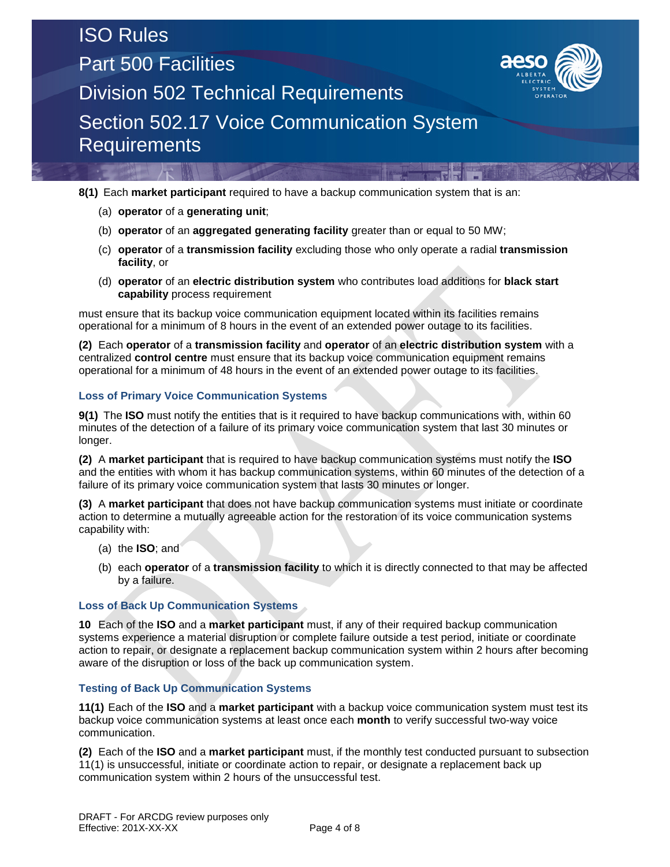### ISO Rules Part 500 Facilities Division 502 Technical Requirements Section 502.17 Voice Communication System **Requirements**



**8(1)** Each **market participant** required to have a backup communication system that is an:

- (a) **operator** of a **generating unit**;
- (b) **operator** of an **aggregated generating facility** greater than or equal to 50 MW;
- (c) **operator** of a **transmission facility** excluding those who only operate a radial **transmission facility**, or
- (d) **operator** of an **electric distribution system** who contributes load additions for **black start capability** process requirement

must ensure that its backup voice communication equipment located within its facilities remains operational for a minimum of 8 hours in the event of an extended power outage to its facilities.

**(2)** Each **operator** of a **transmission facility** and **operator** of an **electric distribution system** with a centralized **control centre** must ensure that its backup voice communication equipment remains operational for a minimum of 48 hours in the event of an extended power outage to its facilities.

### **Loss of Primary Voice Communication Systems**

**9(1)** The **ISO** must notify the entities that is it required to have backup communications with, within 60 minutes of the detection of a failure of its primary voice communication system that last 30 minutes or longer.

**(2)** A **market participant** that is required to have backup communication systems must notify the **ISO** and the entities with whom it has backup communication systems, within 60 minutes of the detection of a failure of its primary voice communication system that lasts 30 minutes or longer.

**(3)** A **market participant** that does not have backup communication systems must initiate or coordinate action to determine a mutually agreeable action for the restoration of its voice communication systems capability with:

- (a) the **ISO**; and
- (b) each **operator** of a **transmission facility** to which it is directly connected to that may be affected by a failure.

### **Loss of Back Up Communication Systems**

**10** Each of the **ISO** and a **market participant** must, if any of their required backup communication systems experience a material disruption or complete failure outside a test period, initiate or coordinate action to repair, or designate a replacement backup communication system within 2 hours after becoming aware of the disruption or loss of the back up communication system.

### **Testing of Back Up Communication Systems**

**11(1)** Each of the **ISO** and a **market participant** with a backup voice communication system must test its backup voice communication systems at least once each **month** to verify successful two-way voice communication.

**(2)** Each of the **ISO** and a **market participant** must, if the monthly test conducted pursuant to subsection 11(1) is unsuccessful, initiate or coordinate action to repair, or designate a replacement back up communication system within 2 hours of the unsuccessful test.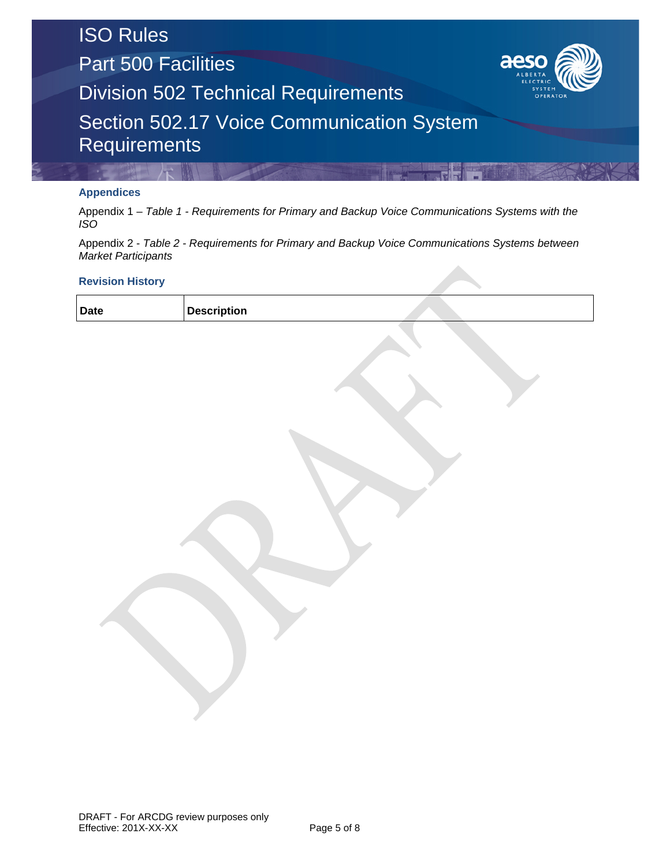Part 500 Facilities



Division 502 Technical Requirements

Section 502.17 Voice Communication System **Requirements** 

### **Appendices**

Appendix 1 – *Table 1 - Requirements for Primary and Backup Voice Communications Systems with the ISO*

Appendix 2 - *Table 2 - Requirements for Primary and Backup Voice Communications Systems between Market Participants*

### **Revision History**

| <b>Date</b><br><b>Description</b> |  |  |
|-----------------------------------|--|--|
|-----------------------------------|--|--|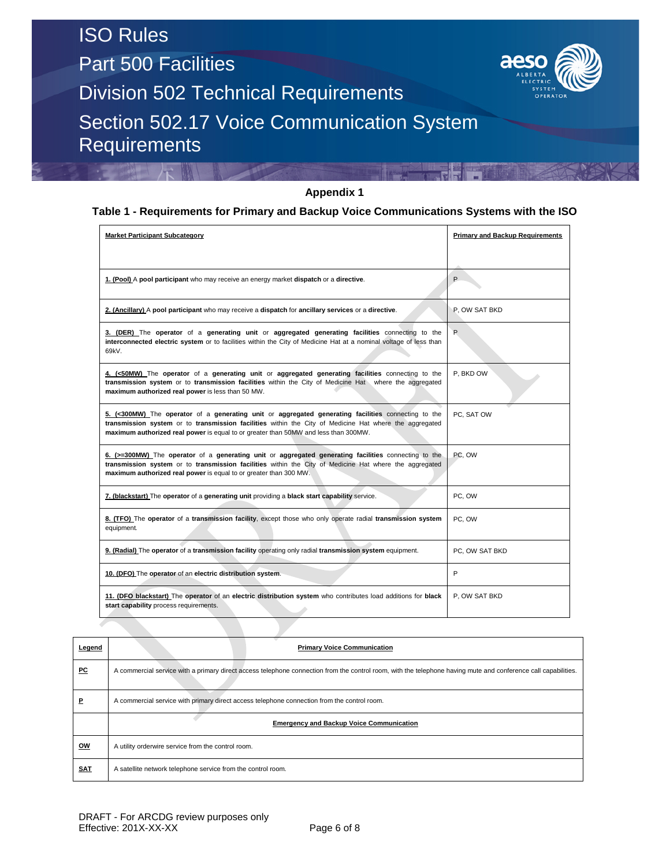**Requirements** 

Part 500 Facilities



Division 502 Technical Requirements Section 502.17 Voice Communication System

### **Appendix 1**

### **Table 1 - Requirements for Primary and Backup Voice Communications Systems with the ISO**

| <b>Market Participant Subcategory</b>                                                                                                                                                                                                                                                                | <b>Primary and Backup Requirements</b> |
|------------------------------------------------------------------------------------------------------------------------------------------------------------------------------------------------------------------------------------------------------------------------------------------------------|----------------------------------------|
| 1. (Pool) A pool participant who may receive an energy market dispatch or a directive.                                                                                                                                                                                                               | P                                      |
| 2. (Ancillary) A pool participant who may receive a dispatch for ancillary services or a directive.                                                                                                                                                                                                  | P. OW SAT BKD                          |
| 3. (DER) The operator of a generating unit or aggregated generating facilities connecting to the<br>interconnected electric system or to facilities within the City of Medicine Hat at a nominal voltage of less than<br>69kV.                                                                       | P                                      |
| 4. (<50MW) The operator of a generating unit or aggregated generating facilities connecting to the<br>transmission system or to transmission facilities within the City of Medicine Hat where the aggregated<br>maximum authorized real power is less than 50 MW.                                    | P. BKD OW                              |
| 5. (<300MW) The operator of a generating unit or aggregated generating facilities connecting to the<br>transmission system or to transmission facilities within the City of Medicine Hat where the aggregated<br>maximum authorized real power is equal to or greater than 50MW and less than 300MW. | PC, SAT OW                             |
| 6. (>=300MW) The operator of a generating unit or aggregated generating facilities connecting to the<br>transmission system or to transmission facilities within the City of Medicine Hat where the aggregated<br>maximum authorized real power is equal to or greater than 300 MW.                  | PC. OW                                 |
| 7. (blackstart) The operator of a generating unit providing a black start capability service.                                                                                                                                                                                                        | PC. OW                                 |
| 8. (TFO) The operator of a transmission facility, except those who only operate radial transmission system<br>equipment.                                                                                                                                                                             | PC, OW                                 |
| 9. (Radial) The operator of a transmission facility operating only radial transmission system equipment.                                                                                                                                                                                             | PC, OW SAT BKD                         |
| 10. (DFO) The operator of an electric distribution system.                                                                                                                                                                                                                                           | P                                      |
| 11. (DFO blackstart) The operator of an electric distribution system who contributes load additions for black<br>start capability process requirements.                                                                                                                                              | P. OW SAT BKD                          |

| Legend     | <b>Primary Voice Communication</b>                                                                                                                             |  |  |  |  |  |
|------------|----------------------------------------------------------------------------------------------------------------------------------------------------------------|--|--|--|--|--|
| PC         | A commercial service with a primary direct access telephone connection from the control room, with the telephone having mute and conference call capabilities. |  |  |  |  |  |
| P          | A commercial service with primary direct access telephone connection from the control room.                                                                    |  |  |  |  |  |
|            | <b>Emergency and Backup Voice Communication</b>                                                                                                                |  |  |  |  |  |
| <u>OW</u>  | A utility orderwire service from the control room.                                                                                                             |  |  |  |  |  |
| <b>SAT</b> | A satellite network telephone service from the control room.                                                                                                   |  |  |  |  |  |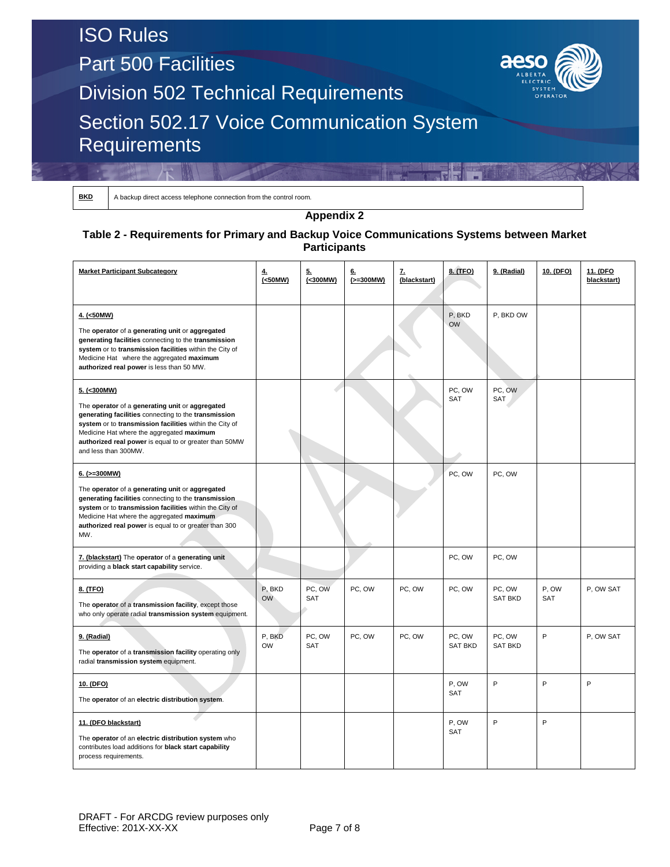Part 500 Facilities



Division 502 Technical Requirements

### Section 502.17 Voice Communication System **Requirements**

A backup direct access telephone connection from the control room.

**Appendix 2**

### **Table 2 - Requirements for Primary and Backup Voice Communications Systems between Market Participants**

| <b>Market Participant Subcategory</b>                                                                                                                                                                                                                                                                            | ₹.<br>(<50MW)       | 5.<br>(<300MW) | <u>6.</u><br>$(>=300MW)$ | <u>z.</u><br>(blackstart) | 8. (TFO)                 | 9. (Radial)              | 10. (DFO)    | 11. (DFO<br>blackstart) |
|------------------------------------------------------------------------------------------------------------------------------------------------------------------------------------------------------------------------------------------------------------------------------------------------------------------|---------------------|----------------|--------------------------|---------------------------|--------------------------|--------------------------|--------------|-------------------------|
| 4. (<50MW)<br>The operator of a generating unit or aggregated<br>generating facilities connecting to the transmission<br>system or to transmission facilities within the City of<br>Medicine Hat where the aggregated maximum<br>authorized real power is less than 50 MW.                                       |                     |                |                          |                           | P, BKD<br><b>OW</b>      | P, BKD OW                |              |                         |
| 5. (<300MW)<br>The operator of a generating unit or aggregated<br>generating facilities connecting to the transmission<br>system or to transmission facilities within the City of<br>Medicine Hat where the aggregated maximum<br>authorized real power is equal to or greater than 50MW<br>and less than 300MW. |                     |                |                          |                           | PC, OW<br>SAT            | PC, OW<br>SAT            |              |                         |
| $6.$ ( $>=300$ MW)<br>The operator of a generating unit or aggregated<br>generating facilities connecting to the transmission<br>system or to transmission facilities within the City of<br>Medicine Hat where the aggregated maximum<br>authorized real power is equal to or greater than 300<br>MW.            |                     |                |                          |                           | PC, OW                   | PC, OW                   |              |                         |
| 7. (blackstart) The operator of a generating unit<br>providing a black start capability service.                                                                                                                                                                                                                 |                     |                |                          |                           | PC, OW                   | PC, OW                   |              |                         |
| 8. (TFO)<br>The operator of a transmission facility, except those<br>who only operate radial transmission system equipment.                                                                                                                                                                                      | P, BKD<br><b>OW</b> | PC, OW<br>SAT  | PC, OW                   | PC, OW                    | PC, OW                   | PC, OW<br><b>SAT BKD</b> | P, OW<br>SAT | P, OW SAT               |
| 9. (Radial)<br>The operator of a transmission facility operating only<br>radial transmission system equipment.                                                                                                                                                                                                   | P, BKD<br><b>OW</b> | PC, OW<br>SAT  | PC, OW                   | PC, OW                    | PC, OW<br><b>SAT BKD</b> | PC, OW<br><b>SAT BKD</b> | P            | P, OW SAT               |
| 10. (DFO)<br>The operator of an electric distribution system.                                                                                                                                                                                                                                                    |                     |                |                          |                           | P, OW<br>SAT             | P                        | P            | P                       |
| 11. (DFO blackstart)<br>The operator of an electric distribution system who<br>contributes load additions for black start capability<br>process requirements.                                                                                                                                                    |                     |                |                          |                           | P, OW<br><b>SAT</b>      | P                        | P            |                         |